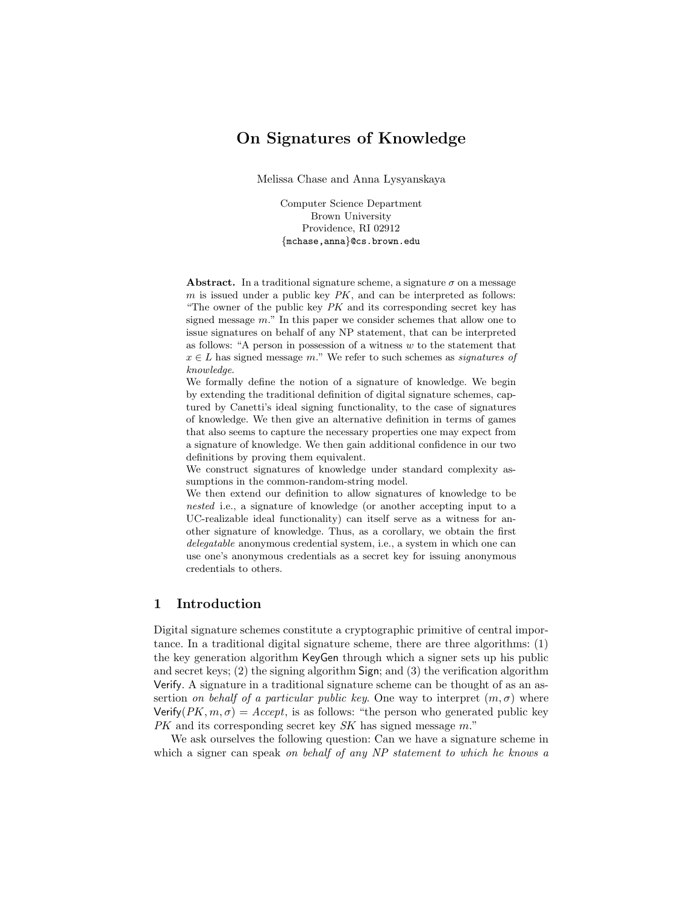# On Signatures of Knowledge

Melissa Chase and Anna Lysyanskaya

Computer Science Department Brown University Providence, RI 02912 {mchase,anna}@cs.brown.edu

Abstract. In a traditional signature scheme, a signature  $\sigma$  on a message  $m$  is issued under a public key  $PK$ , and can be interpreted as follows: "The owner of the public key  $PK$  and its corresponding secret key has signed message  $m$ ." In this paper we consider schemes that allow one to issue signatures on behalf of any NP statement, that can be interpreted as follows: "A person in possession of a witness  $w$  to the statement that  $x \in L$  has signed message m." We refer to such schemes as signatures of knowledge.

We formally define the notion of a signature of knowledge. We begin by extending the traditional definition of digital signature schemes, captured by Canetti's ideal signing functionality, to the case of signatures of knowledge. We then give an alternative definition in terms of games that also seems to capture the necessary properties one may expect from a signature of knowledge. We then gain additional confidence in our two definitions by proving them equivalent.

We construct signatures of knowledge under standard complexity assumptions in the common-random-string model.

We then extend our definition to allow signatures of knowledge to be nested i.e., a signature of knowledge (or another accepting input to a UC-realizable ideal functionality) can itself serve as a witness for another signature of knowledge. Thus, as a corollary, we obtain the first delegatable anonymous credential system, i.e., a system in which one can use one's anonymous credentials as a secret key for issuing anonymous credentials to others.

# 1 Introduction

Digital signature schemes constitute a cryptographic primitive of central importance. In a traditional digital signature scheme, there are three algorithms:  $(1)$ the key generation algorithm KeyGen through which a signer sets up his public and secret keys; (2) the signing algorithm Sign; and (3) the verification algorithm Verify. A signature in a traditional signature scheme can be thought of as an assertion on behalf of a particular public key. One way to interpret  $(m, \sigma)$  where Verify( $PK, m, \sigma$ ) = Accept, is as follows: "the person who generated public key PK and its corresponding secret key SK has signed message m."

We ask ourselves the following question: Can we have a signature scheme in which a signer can speak on behalf of any NP statement to which he knows a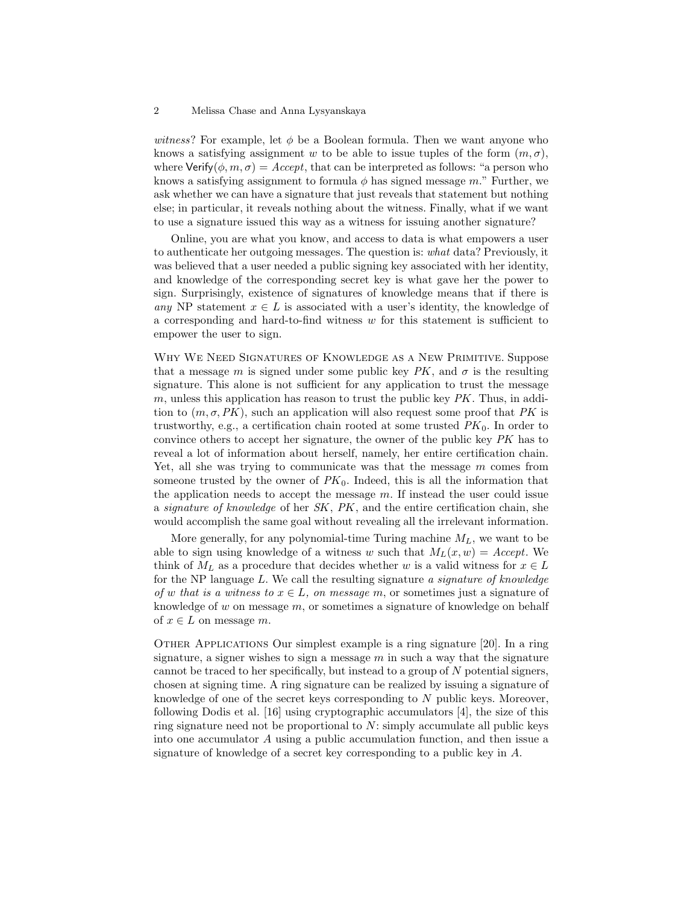witness? For example, let  $\phi$  be a Boolean formula. Then we want anyone who knows a satisfying assignment w to be able to issue tuples of the form  $(m, \sigma)$ , where Verify( $\phi, m, \sigma$ ) = Accept, that can be interpreted as follows: "a person who knows a satisfying assignment to formula  $\phi$  has signed message m." Further, we ask whether we can have a signature that just reveals that statement but nothing else; in particular, it reveals nothing about the witness. Finally, what if we want to use a signature issued this way as a witness for issuing another signature?

Online, you are what you know, and access to data is what empowers a user to authenticate her outgoing messages. The question is: what data? Previously, it was believed that a user needed a public signing key associated with her identity, and knowledge of the corresponding secret key is what gave her the power to sign. Surprisingly, existence of signatures of knowledge means that if there is any NP statement  $x \in L$  is associated with a user's identity, the knowledge of a corresponding and hard-to-find witness  $w$  for this statement is sufficient to empower the user to sign.

WHY WE NEED SIGNATURES OF KNOWLEDGE AS A NEW PRIMITIVE. Suppose that a message m is signed under some public key  $PK$ , and  $\sigma$  is the resulting signature. This alone is not sufficient for any application to trust the message  $m$ , unless this application has reason to trust the public key  $PK$ . Thus, in addition to  $(m, \sigma, PK)$ , such an application will also request some proof that PK is trustworthy, e.g., a certification chain rooted at some trusted  $PK_0$ . In order to convince others to accept her signature, the owner of the public key PK has to reveal a lot of information about herself, namely, her entire certification chain. Yet, all she was trying to communicate was that the message  $m$  comes from someone trusted by the owner of  $PK_0$ . Indeed, this is all the information that the application needs to accept the message  $m$ . If instead the user could issue a signature of knowledge of her  $SK$ ,  $PK$ , and the entire certification chain, she would accomplish the same goal without revealing all the irrelevant information.

More generally, for any polynomial-time Turing machine  $M_L$ , we want to be able to sign using knowledge of a witness w such that  $M_L(x, w) = Accept$ . We think of  $M_L$  as a procedure that decides whether w is a valid witness for  $x \in L$ for the NP language  $L$ . We call the resulting signature a signature of knowledge of w that is a witness to  $x \in L$ , on message m, or sometimes just a signature of knowledge of  $w$  on message  $m$ , or sometimes a signature of knowledge on behalf of  $x \in L$  on message m.

Other Applications Our simplest example is a ring signature [20]. In a ring signature, a signer wishes to sign a message  $m$  in such a way that the signature cannot be traced to her specifically, but instead to a group of  $N$  potential signers, chosen at signing time. A ring signature can be realized by issuing a signature of knowledge of one of the secret keys corresponding to N public keys. Moreover, following Dodis et al. [16] using cryptographic accumulators [4], the size of this ring signature need not be proportional to  $N$ : simply accumulate all public keys into one accumulator A using a public accumulation function, and then issue a signature of knowledge of a secret key corresponding to a public key in A.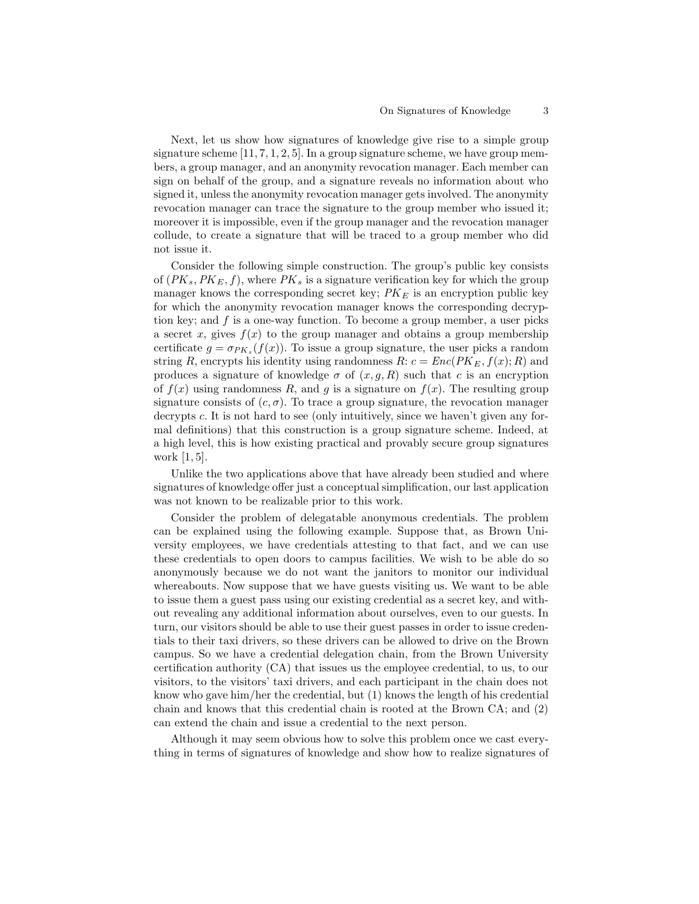Next, let us show how signatures of knowledge give rise to a simple group signature scheme  $[11, 7, 1, 2, 5]$ . In a group signature scheme, we have group members, a group manager, and an anonymity revocation manager. Each member can sign on behalf of the group, and a signature reveals no information about who signed it, unless the anonymity revocation manager gets involved. The anonymity revocation manager can trace the signature to the group member who issued it; moreover it is impossible, even if the group manager and the revocation manager collude, to create a signature that will be traced to a group member who did not issue it.

Consider the following simple construction. The group's public key consists of  $(PK_s, PK_E, f)$ , where  $PK_s$  is a signature verification key for which the group manager knows the corresponding secret key;  $PK_E$  is an encryption public key for which the anonymity revocation manager knows the corresponding decryption key; and  $f$  is a one-way function. To become a group member, a user picks a secret x, gives  $f(x)$  to the group manager and obtains a group membership certificate  $g = \sigma_{PK_s}(f(x))$ . To issue a group signature, the user picks a random string R, encrypts his identity using randomness  $R: c = Enc(PK_E, f(x); R)$  and produces a signature of knowledge  $\sigma$  of  $(x, g, R)$  such that c is an encryption of  $f(x)$  using randomness R, and g is a signature on  $f(x)$ . The resulting group signature consists of  $(c, \sigma)$ . To trace a group signature, the revocation manager decrypts c. It is not hard to see (only intuitively, since we haven't given any formal definitions) that this construction is a group signature scheme. Indeed, at a high level, this is how existing practical and provably secure group signatures work [1, 5].

Unlike the two applications above that have already been studied and where signatures of knowledge offer just a conceptual simplification, our last application was not known to be realizable prior to this work.

Consider the problem of delegatable anonymous credentials. The problem can be explained using the following example. Suppose that, as Brown University employees, we have credentials attesting to that fact, and we can use these credentials to open doors to campus facilities. We wish to be able do so anonymously because we do not want the janitors to monitor our individual whereabouts. Now suppose that we have guests visiting us. We want to be able to issue them a guest pass using our existing credential as a secret key, and without revealing any additional information about ourselves, even to our guests. In turn, our visitors should be able to use their guest passes in order to issue credentials to their taxi drivers, so these drivers can be allowed to drive on the Brown campus. So we have a credential delegation chain, from the Brown University certification authority (CA) that issues us the employee credential, to us, to our visitors, to the visitors' taxi drivers, and each participant in the chain does not know who gave him/her the credential, but (1) knows the length of his credential chain and knows that this credential chain is rooted at the Brown CA; and (2) can extend the chain and issue a credential to the next person.

Although it may seem obvious how to solve this problem once we cast everything in terms of signatures of knowledge and show how to realize signatures of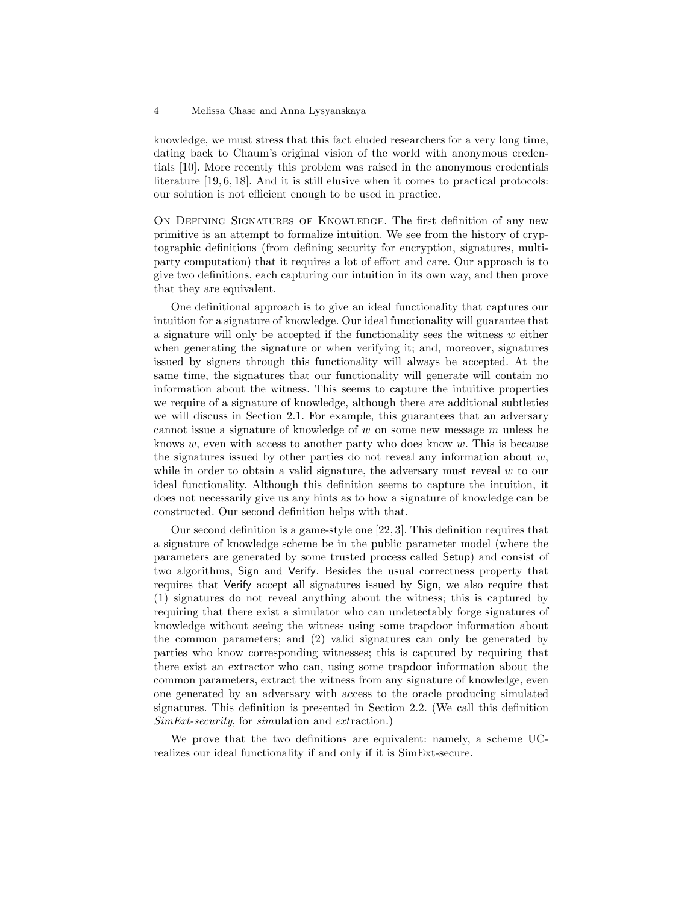knowledge, we must stress that this fact eluded researchers for a very long time, dating back to Chaum's original vision of the world with anonymous credentials [10]. More recently this problem was raised in the anonymous credentials literature [19, 6, 18]. And it is still elusive when it comes to practical protocols: our solution is not efficient enough to be used in practice.

ON DEFINING SIGNATURES OF KNOWLEDGE. The first definition of any new primitive is an attempt to formalize intuition. We see from the history of cryptographic definitions (from defining security for encryption, signatures, multiparty computation) that it requires a lot of effort and care. Our approach is to give two definitions, each capturing our intuition in its own way, and then prove that they are equivalent.

One definitional approach is to give an ideal functionality that captures our intuition for a signature of knowledge. Our ideal functionality will guarantee that a signature will only be accepted if the functionality sees the witness  $w$  either when generating the signature or when verifying it; and, moreover, signatures issued by signers through this functionality will always be accepted. At the same time, the signatures that our functionality will generate will contain no information about the witness. This seems to capture the intuitive properties we require of a signature of knowledge, although there are additional subtleties we will discuss in Section 2.1. For example, this guarantees that an adversary cannot issue a signature of knowledge of w on some new message  $m$  unless he knows  $w$ , even with access to another party who does know  $w$ . This is because the signatures issued by other parties do not reveal any information about  $w$ , while in order to obtain a valid signature, the adversary must reveal  $w$  to our ideal functionality. Although this definition seems to capture the intuition, it does not necessarily give us any hints as to how a signature of knowledge can be constructed. Our second definition helps with that.

Our second definition is a game-style one [22, 3]. This definition requires that a signature of knowledge scheme be in the public parameter model (where the parameters are generated by some trusted process called Setup) and consist of two algorithms, Sign and Verify. Besides the usual correctness property that requires that Verify accept all signatures issued by Sign, we also require that (1) signatures do not reveal anything about the witness; this is captured by requiring that there exist a simulator who can undetectably forge signatures of knowledge without seeing the witness using some trapdoor information about the common parameters; and (2) valid signatures can only be generated by parties who know corresponding witnesses; this is captured by requiring that there exist an extractor who can, using some trapdoor information about the common parameters, extract the witness from any signature of knowledge, even one generated by an adversary with access to the oracle producing simulated signatures. This definition is presented in Section 2.2. (We call this definition SimExt-security, for simulation and extraction.)

We prove that the two definitions are equivalent: namely, a scheme UCrealizes our ideal functionality if and only if it is SimExt-secure.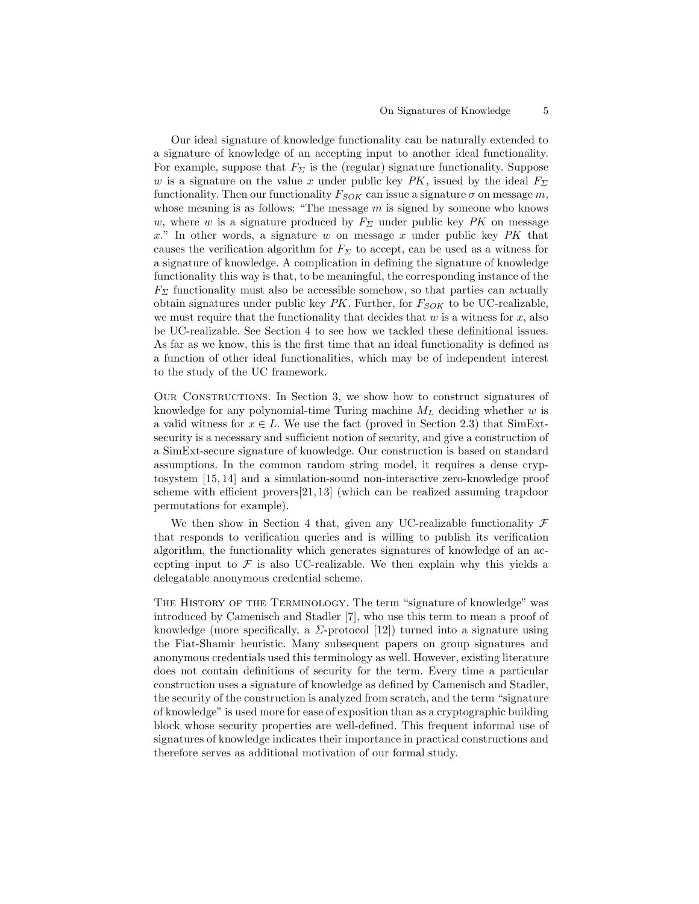### On Signatures of Knowledge 5

Our ideal signature of knowledge functionality can be naturally extended to a signature of knowledge of an accepting input to another ideal functionality. For example, suppose that  $F_{\Sigma}$  is the (regular) signature functionality. Suppose w is a signature on the value x under public key  $PK$ , issued by the ideal  $F_\Sigma$ functionality. Then our functionality  $F_{SOK}$  can issue a signature  $\sigma$  on message m, whose meaning is as follows: "The message  $m$  is signed by someone who knows w, where w is a signature produced by  $F_{\Sigma}$  under public key PK on message  $x$ ." In other words, a signature w on message x under public key  $PK$  that causes the verification algorithm for  $F_\Sigma$  to accept, can be used as a witness for a signature of knowledge. A complication in defining the signature of knowledge functionality this way is that, to be meaningful, the corresponding instance of the  $F_{\Sigma}$  functionality must also be accessible somehow, so that parties can actually obtain signatures under public key  $PK$ . Further, for  $F_{SOK}$  to be UC-realizable, we must require that the functionality that decides that  $w$  is a witness for  $x$ , also be UC-realizable. See Section 4 to see how we tackled these definitional issues. As far as we know, this is the first time that an ideal functionality is defined as a function of other ideal functionalities, which may be of independent interest to the study of the UC framework.

Our Constructions. In Section 3, we show how to construct signatures of knowledge for any polynomial-time Turing machine  $M_L$  deciding whether w is a valid witness for  $x \in L$ . We use the fact (proved in Section 2.3) that SimExtsecurity is a necessary and sufficient notion of security, and give a construction of a SimExt-secure signature of knowledge. Our construction is based on standard assumptions. In the common random string model, it requires a dense cryptosystem [15, 14] and a simulation-sound non-interactive zero-knowledge proof scheme with efficient provers[21, 13] (which can be realized assuming trapdoor permutations for example).

We then show in Section 4 that, given any UC-realizable functionality  $\mathcal F$ that responds to verification queries and is willing to publish its verification algorithm, the functionality which generates signatures of knowledge of an accepting input to  $\mathcal F$  is also UC-realizable. We then explain why this yields a delegatable anonymous credential scheme.

THE HISTORY OF THE TERMINOLOGY. The term "signature of knowledge" was introduced by Camenisch and Stadler [7], who use this term to mean a proof of knowledge (more specifically, a  $\Sigma$ -protocol [12]) turned into a signature using the Fiat-Shamir heuristic. Many subsequent papers on group signatures and anonymous credentials used this terminology as well. However, existing literature does not contain definitions of security for the term. Every time a particular construction uses a signature of knowledge as defined by Camenisch and Stadler, the security of the construction is analyzed from scratch, and the term "signature of knowledge" is used more for ease of exposition than as a cryptographic building block whose security properties are well-defined. This frequent informal use of signatures of knowledge indicates their importance in practical constructions and therefore serves as additional motivation of our formal study.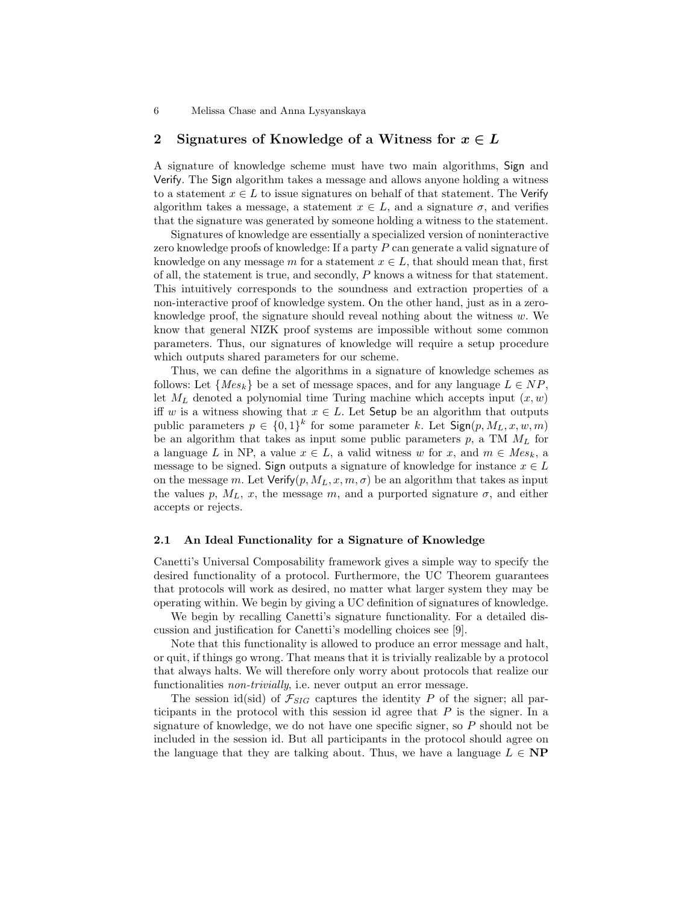# 2 Signatures of Knowledge of a Witness for  $x \in L$

A signature of knowledge scheme must have two main algorithms, Sign and Verify. The Sign algorithm takes a message and allows anyone holding a witness to a statement  $x \in L$  to issue signatures on behalf of that statement. The Verify algorithm takes a message, a statement  $x \in L$ , and a signature  $\sigma$ , and verifies that the signature was generated by someone holding a witness to the statement.

Signatures of knowledge are essentially a specialized version of noninteractive zero knowledge proofs of knowledge: If a party P can generate a valid signature of knowledge on any message m for a statement  $x \in L$ , that should mean that, first of all, the statement is true, and secondly, P knows a witness for that statement. This intuitively corresponds to the soundness and extraction properties of a non-interactive proof of knowledge system. On the other hand, just as in a zeroknowledge proof, the signature should reveal nothing about the witness  $w$ . We know that general NIZK proof systems are impossible without some common parameters. Thus, our signatures of knowledge will require a setup procedure which outputs shared parameters for our scheme.

Thus, we can define the algorithms in a signature of knowledge schemes as follows: Let  ${ {Mes_k } }$  be a set of message spaces, and for any language  $L \in NP$ , let  $M_L$  denoted a polynomial time Turing machine which accepts input  $(x, w)$ iff w is a witness showing that  $x \in L$ . Let Setup be an algorithm that outputs public parameters  $p \in \{0,1\}^k$  for some parameter k. Let  $\textsf{Sign}(p, M_L, x, w, m)$ be an algorithm that takes as input some public parameters  $p$ , a TM  $M<sub>L</sub>$  for a language L in NP, a value  $x \in L$ , a valid witness w for x, and  $m \in Mes_k$ , a message to be signed. Sign outputs a signature of knowledge for instance  $x \in L$ on the message m. Let  $Verify(p, M_L, x, m, \sigma)$  be an algorithm that takes as input the values p,  $M_L$ , x, the message m, and a purported signature  $\sigma$ , and either accepts or rejects.

## 2.1 An Ideal Functionality for a Signature of Knowledge

Canetti's Universal Composability framework gives a simple way to specify the desired functionality of a protocol. Furthermore, the UC Theorem guarantees that protocols will work as desired, no matter what larger system they may be operating within. We begin by giving a UC definition of signatures of knowledge.

We begin by recalling Canetti's signature functionality. For a detailed discussion and justification for Canetti's modelling choices see [9].

Note that this functionality is allowed to produce an error message and halt, or quit, if things go wrong. That means that it is trivially realizable by a protocol that always halts. We will therefore only worry about protocols that realize our functionalities non-trivially, i.e. never output an error message.

The session id(sid) of  $\mathcal{F}_{SIG}$  captures the identity P of the signer; all participants in the protocol with this session id agree that  $P$  is the signer. In a signature of knowledge, we do not have one specific signer, so  $P$  should not be included in the session id. But all participants in the protocol should agree on the language that they are talking about. Thus, we have a language  $L \in \mathbf{NP}$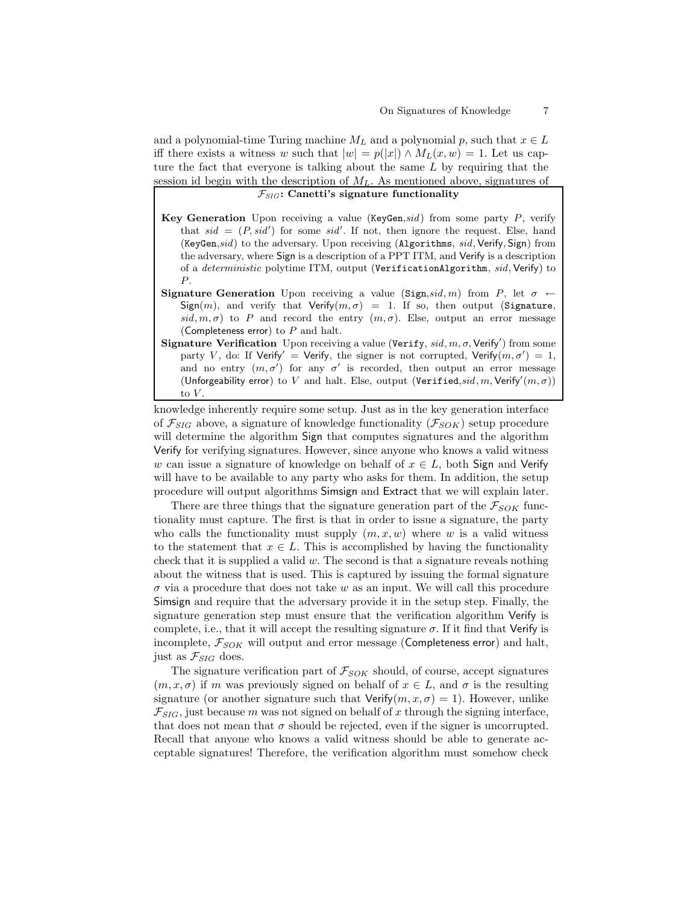and a polynomial-time Turing machine  $M_L$  and a polynomial p, such that  $x \in L$ iff there exists a witness w such that  $|w| = p(|x|) \wedge M_L(x, w) = 1$ . Let us capture the fact that everyone is talking about the same  $L$  by requiring that the session id begin with the description of  $M_L$ . As mentioned above, signatures of

# $\mathcal{F}_{SIG}$ : Canetti's signature functionality

- Key Generation Upon receiving a value (KeyGen,sid) from some party  $P$ , verify that  $sid = (P, sid')$  for some  $sid'$ . If not, then ignore the request. Else, hand (KeyGen,sid) to the adversary. Upon receiving (Algorithms, sid, Verify, Sign) from the adversary, where Sign is a description of a PPT ITM, and Verify is a description of a *deterministic* polytime ITM, output (VerificationAlgorithm, sid, Verify) to P.
- **Signature Generation** Upon receiving a value (Sign,sid, m) from P, let  $\sigma \leftarrow$  $Sign(m)$ , and verify that  $Verify(m, \sigma) = 1$ . If so, then output (Signature, sid,  $m, \sigma$ ) to P and record the entry  $(m, \sigma)$ . Else, output an error message (Completeness error) to  $P$  and halt.
- Signature Verification Upon receiving a value (Verify,  $sid, m, \sigma$ , Verify') from some party V, do: If Verify' = Verify, the signer is not corrupted, Verify $(m, \sigma') = 1$ , and no entry  $(m, \sigma')$  for any  $\sigma'$  is recorded, then output an error message (Unforgeability error) to V and halt. Else, output (Verified, sid, m, Verify' $(m, \sigma)$ ) to  $V$ .

knowledge inherently require some setup. Just as in the key generation interface of  $\mathcal{F}_{SIG}$  above, a signature of knowledge functionality  $(\mathcal{F}_{SOK})$  setup procedure will determine the algorithm Sign that computes signatures and the algorithm Verify for verifying signatures. However, since anyone who knows a valid witness w can issue a signature of knowledge on behalf of  $x \in L$ , both Sign and Verify will have to be available to any party who asks for them. In addition, the setup procedure will output algorithms Simsign and Extract that we will explain later.

There are three things that the signature generation part of the  $\mathcal{F}_{SOK}$  functionality must capture. The first is that in order to issue a signature, the party who calls the functionality must supply  $(m, x, w)$  where w is a valid witness to the statement that  $x \in L$ . This is accomplished by having the functionality check that it is supplied a valid  $w$ . The second is that a signature reveals nothing about the witness that is used. This is captured by issuing the formal signature  $\sigma$  via a procedure that does not take w as an input. We will call this procedure Simsign and require that the adversary provide it in the setup step. Finally, the signature generation step must ensure that the verification algorithm Verify is complete, i.e., that it will accept the resulting signature  $\sigma$ . If it find that Verify is incomplete,  $\mathcal{F}_{SOK}$  will output and error message (Completeness error) and halt, just as  $\mathcal{F}_{SIG}$  does.

The signature verification part of  $\mathcal{F}_{SOK}$  should, of course, accept signatures  $(m, x, \sigma)$  if m was previously signed on behalf of  $x \in L$ , and  $\sigma$  is the resulting signature (or another signature such that  $\text{Verify}(m, x, \sigma) = 1$ ). However, unlike  $\mathcal{F}_{SIG}$ , just because m was not signed on behalf of x through the signing interface, that does not mean that  $\sigma$  should be rejected, even if the signer is uncorrupted. Recall that anyone who knows a valid witness should be able to generate acceptable signatures! Therefore, the verification algorithm must somehow check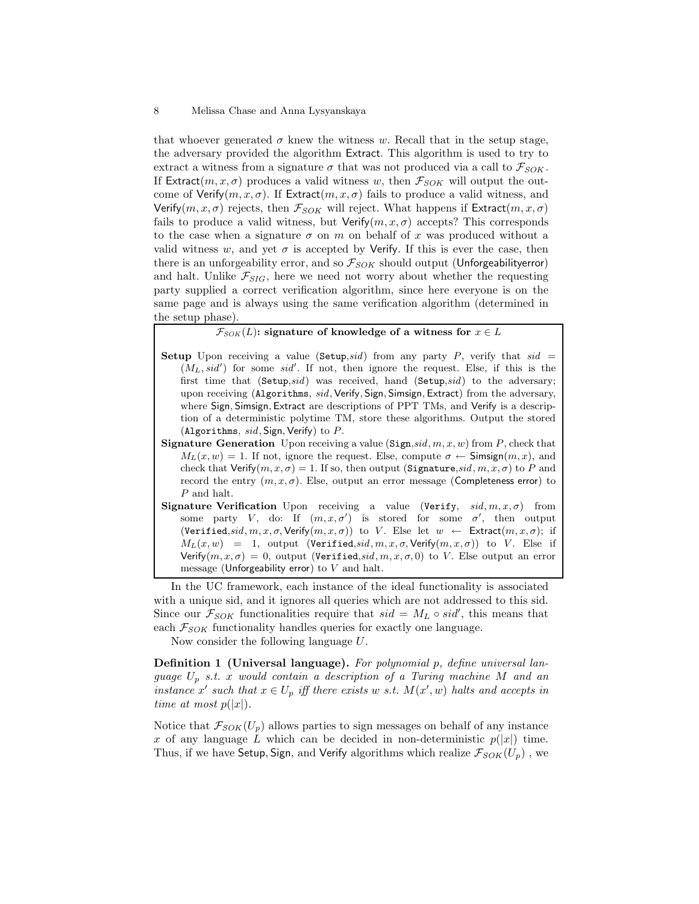that whoever generated  $\sigma$  knew the witness w. Recall that in the setup stage, the adversary provided the algorithm Extract. This algorithm is used to try to extract a witness from a signature  $\sigma$  that was not produced via a call to  $\mathcal{F}_{SOK}$ . If Extract $(m, x, \sigma)$  produces a valid witness w, then  $\mathcal{F}_{SOK}$  will output the outcome of Verify $(m, x, \sigma)$ . If Extract $(m, x, \sigma)$  fails to produce a valid witness, and Verify $(m, x, \sigma)$  rejects, then  $\mathcal{F}_{SOK}$  will reject. What happens if Extract $(m, x, \sigma)$ fails to produce a valid witness, but  $Verify(m, x, \sigma)$  accepts? This corresponds to the case when a signature  $\sigma$  on m on behalf of x was produced without a valid witness w, and yet  $\sigma$  is accepted by Verify. If this is ever the case, then there is an unforgeability error, and so  $\mathcal{F}_{SOK}$  should output (Unforgeability error) and halt. Unlike  $\mathcal{F}_{SIG}$ , here we need not worry about whether the requesting party supplied a correct verification algorithm, since here everyone is on the same page and is always using the same verification algorithm (determined in the setup phase).

 $\mathcal{F}_{\text{SOK}}(L)$ : signature of knowledge of a witness for  $x \in L$ 

- Setup Upon receiving a value (Setup, sid) from any party  $P$ , verify that sid =  $(M_L, sid')$  for some sid'. If not, then ignore the request. Else, if this is the first time that  $(Setup,sid)$  was received, hand  $(Setup,sid)$  to the adversary; upon receiving (Algorithms, sid, Verify, Sign, Simsign, Extract) from the adversary, where Sign, Simsign, Extract are descriptions of PPT TMs, and Verify is a description of a deterministic polytime TM, store these algorithms. Output the stored (Algorithms,  $sid$ , Sign, Verify) to  $P$ .
- **Signature Generation** Upon receiving a value  $(Sign, sid, m, x, w)$  from P, check that  $M_L(x, w) = 1$ . If not, ignore the request. Else, compute  $\sigma \leftarrow \mathsf{Simsign}(m, x)$ , and check that  $Verify(m, x, \sigma) = 1$ . If so, then output (Signature,sid, m, x,  $\sigma$ ) to P and record the entry  $(m, x, \sigma)$ . Else, output an error message (Completeness error) to P and halt.
- Signature Verification Upon receiving a value (Verify,  $sid, m, x, \sigma$ ) from some party V, do: If  $(m, x, \sigma')$  is stored for some  $\sigma'$ , then output (Verified,sid,  $m, x, \sigma$ , Verify $(m, x, \sigma)$ ) to V. Else let  $w \leftarrow$  Extract $(m, x, \sigma)$ ; if  $M_L(x, w) = 1$ , output (Verified,sid, m, x, σ, Verify $(m, x, \sigma)$ ) to V. Else if Verify $(m, x, \sigma) = 0$ , output (Verified,sid,  $m, x, \sigma$ , 0) to V. Else output an error message (Unforgeability error) to  $V$  and halt.

In the UC framework, each instance of the ideal functionality is associated with a unique sid, and it ignores all queries which are not addressed to this sid. Since our  $\mathcal{F}_{SOK}$  functionalities require that  $sid = M_L \circ sid'$ , this means that each  $\mathcal{F}_{SOK}$  functionality handles queries for exactly one language.

Now consider the following language U.

**Definition 1 (Universal language).** For polynomial p, define universal language  $U_p$  s.t. x would contain a description of a Turing machine M and an instance x' such that  $x \in U_p$  iff there exists w s.t.  $M(x', w)$  halts and accepts in time at most  $p(|x|)$ .

Notice that  $\mathcal{F}_{SOK}(U_p)$  allows parties to sign messages on behalf of any instance x of any language L which can be decided in non-deterministic  $p(|x|)$  time. Thus, if we have Setup, Sign, and Verify algorithms which realize  $\mathcal{F}_{SOK}(U_p)$ , we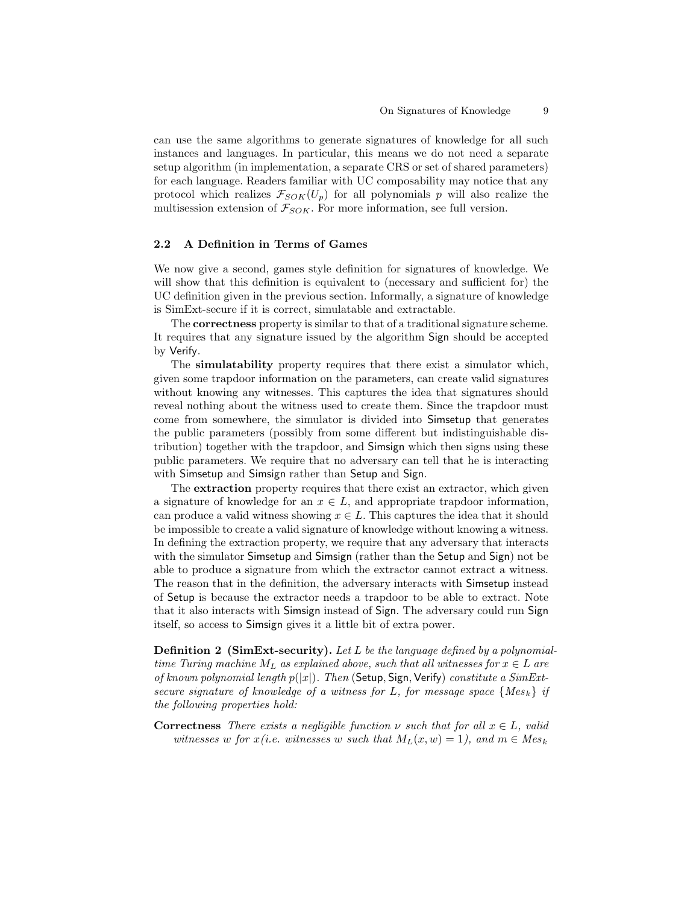can use the same algorithms to generate signatures of knowledge for all such instances and languages. In particular, this means we do not need a separate setup algorithm (in implementation, a separate CRS or set of shared parameters) for each language. Readers familiar with UC composability may notice that any protocol which realizes  $\mathcal{F}_{SOK}(U_p)$  for all polynomials p will also realize the multisession extension of  $\mathcal{F}_{SOK}$ . For more information, see full version.

# 2.2 A Definition in Terms of Games

We now give a second, games style definition for signatures of knowledge. We will show that this definition is equivalent to (necessary and sufficient for) the UC definition given in the previous section. Informally, a signature of knowledge is SimExt-secure if it is correct, simulatable and extractable.

The correctness property is similar to that of a traditional signature scheme. It requires that any signature issued by the algorithm Sign should be accepted by Verify.

The simulatability property requires that there exist a simulator which, given some trapdoor information on the parameters, can create valid signatures without knowing any witnesses. This captures the idea that signatures should reveal nothing about the witness used to create them. Since the trapdoor must come from somewhere, the simulator is divided into Simsetup that generates the public parameters (possibly from some different but indistinguishable distribution) together with the trapdoor, and Simsign which then signs using these public parameters. We require that no adversary can tell that he is interacting with Simsetup and Simsign rather than Setup and Sign.

The **extraction** property requires that there exist an extractor, which given a signature of knowledge for an  $x \in L$ , and appropriate trapdoor information, can produce a valid witness showing  $x \in L$ . This captures the idea that it should be impossible to create a valid signature of knowledge without knowing a witness. In defining the extraction property, we require that any adversary that interacts with the simulator Simsetup and Simsign (rather than the Setup and Sign) not be able to produce a signature from which the extractor cannot extract a witness. The reason that in the definition, the adversary interacts with Simsetup instead of Setup is because the extractor needs a trapdoor to be able to extract. Note that it also interacts with Simsign instead of Sign. The adversary could run Sign itself, so access to Simsign gives it a little bit of extra power.

**Definition 2 (SimExt-security).** Let L be the language defined by a polynomialtime Turing machine  $M_L$  as explained above, such that all witnesses for  $x \in L$  are of known polynomial length  $p(|x|)$ . Then (Setup, Sign, Verify) constitute a SimExtsecure signature of knowledge of a witness for L, for message space  ${Mes_k}$  if the following properties hold:

**Correctness** There exists a negligible function  $\nu$  such that for all  $x \in L$ , valid witnesses w for  $x(i.e.$  witnesses w such that  $M_L(x, w) = 1$ , and  $m \in Mes_k$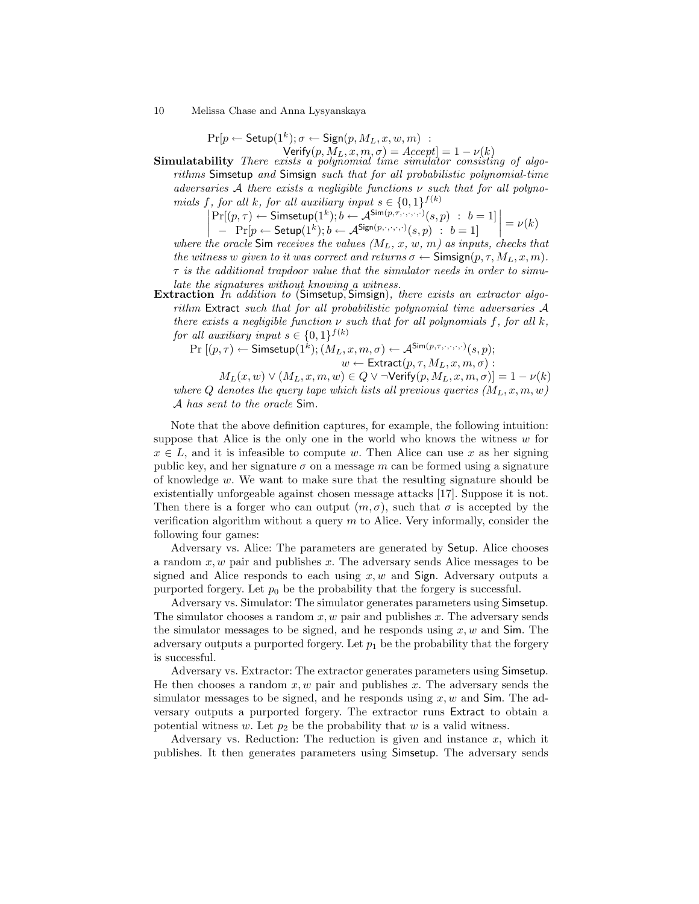$\Pr[p \leftarrow \mathsf{Setup}(1^k); \sigma \leftarrow \mathsf{Sign}(p, M_L, x, w, m)$ :

 $Verify(p, M_L, x, m, \sigma) = Accept] = 1 - \nu(k)$ <br>Simulatability *There exists a polynomial time simulator consisting of algo*rithms Simsetup and Simsign such that for all probabilistic polynomial-time adversaries  $A$  there exists a negligible functions  $\nu$  such that for all polynomials f, for all k, for all auxiliary input  $s \in \{0,1\}^{f(k)}$ 

 $\begin{array}{c} \hline \end{array}$  $\Pr[(p,\tau) \leftarrow \mathsf{Simsetup}(1^k); b \leftarrow \mathcal{A}^{\mathsf{Sim}(p,\tau,\cdot,\cdot,\cdot,\cdot)}(s,p) \; : \; b = 1]$  $-$  Pr[ $p \leftarrow$  Setup(1<sup>k</sup>);  $b \leftarrow A^{\text{Sign}(p,\cdot,\cdot,\cdot,\cdot)}(s,p)$  :  $b=1$ ]  $= \nu(k)$ 

where the oracle Sim receives the values  $(M_L, x, w, m)$  as inputs, checks that the witness w given to it was correct and returns  $\sigma \leftarrow \text{Simsign}(p, \tau, M_L, x, m)$ .  $\tau$  is the additional trapdoor value that the simulator needs in order to simulate the signatures without knowing a witness.

Extraction In addition to (Simsetup, Simsign), there exists an extractor algorithm Extract such that for all probabilistic polynomial time adversaries A there exists a negligible function  $\nu$  such that for all polynomials f, for all k, for all auxiliary input  $s \in \{0,1\}^{f(k)}$ 

$$
\Pr\left[(p,\tau) \leftarrow \mathsf{Simsetup}(1^{\hat{k}}); (M_L, x, m, \sigma) \leftarrow \mathcal{A}^{\mathsf{Sim}(p,\tau,\cdot,\cdot,\cdot,\cdot)}(s,p);\\ w \leftarrow \mathsf{Extract}(p,\tau,M_L,x,m,\sigma):
$$

 $M_L(x, w) \vee (M_L, x, m, w) \in Q \vee \neg \mathsf{Verify}(p, M_L, x, m, \sigma)] = 1 - \nu(k)$ where Q denotes the query tape which lists all previous queries  $(M_L, x, m, w)$ A has sent to the oracle Sim.

Note that the above definition captures, for example, the following intuition: suppose that Alice is the only one in the world who knows the witness  $w$  for  $x \in L$ , and it is infeasible to compute w. Then Alice can use x as her signing public key, and her signature  $\sigma$  on a message m can be formed using a signature of knowledge w. We want to make sure that the resulting signature should be existentially unforgeable against chosen message attacks [17]. Suppose it is not. Then there is a forger who can output  $(m, \sigma)$ , such that  $\sigma$  is accepted by the verification algorithm without a query  $m$  to Alice. Very informally, consider the following four games:

Adversary vs. Alice: The parameters are generated by Setup. Alice chooses a random  $x, w$  pair and publishes  $x$ . The adversary sends Alice messages to be signed and Alice responds to each using  $x, w$  and Sign. Adversary outputs a purported forgery. Let  $p_0$  be the probability that the forgery is successful.

Adversary vs. Simulator: The simulator generates parameters using Simsetup. The simulator chooses a random  $x, w$  pair and publishes x. The adversary sends the simulator messages to be signed, and he responds using  $x, w$  and  $\mathsf{Sim}$ . The adversary outputs a purported forgery. Let  $p_1$  be the probability that the forgery is successful.

Adversary vs. Extractor: The extractor generates parameters using Simsetup. He then chooses a random  $x, w$  pair and publishes  $x$ . The adversary sends the simulator messages to be signed, and he responds using  $x, w$  and Sim. The adversary outputs a purported forgery. The extractor runs Extract to obtain a potential witness w. Let  $p_2$  be the probability that w is a valid witness.

Adversary vs. Reduction: The reduction is given and instance  $x$ , which it publishes. It then generates parameters using Simsetup. The adversary sends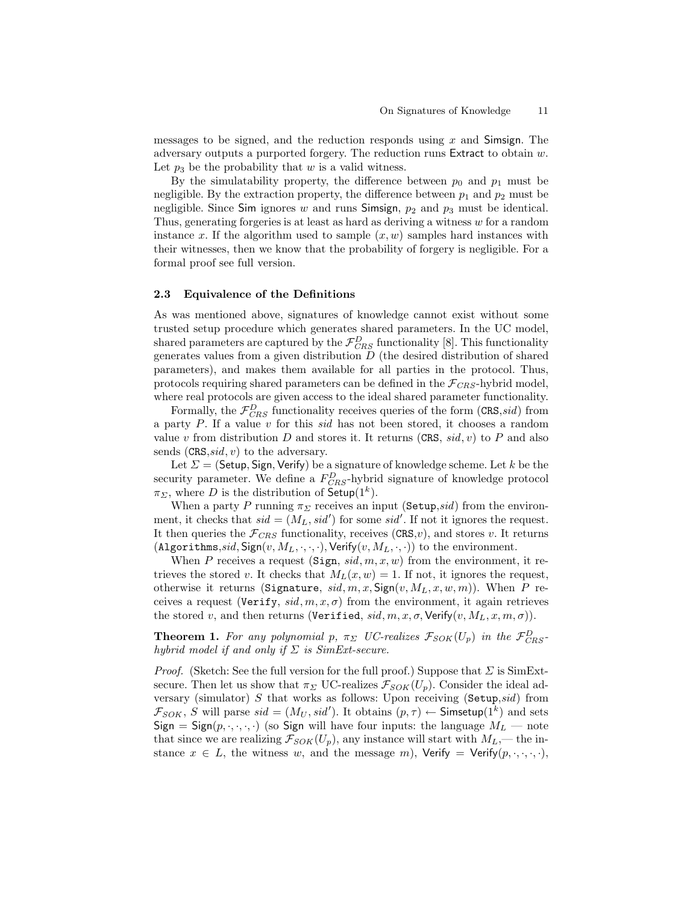messages to be signed, and the reduction responds using  $x$  and Simsign. The adversary outputs a purported forgery. The reduction runs Extract to obtain  $w$ . Let  $p_3$  be the probability that  $w$  is a valid witness.

By the simulatability property, the difference between  $p_0$  and  $p_1$  must be negligible. By the extraction property, the difference between  $p_1$  and  $p_2$  must be negligible. Since Sim ignores w and runs Simsign,  $p_2$  and  $p_3$  must be identical. Thus, generating forgeries is at least as hard as deriving a witness  $w$  for a random instance x. If the algorithm used to sample  $(x, w)$  samples hard instances with their witnesses, then we know that the probability of forgery is negligible. For a formal proof see full version.

## 2.3 Equivalence of the Definitions

As was mentioned above, signatures of knowledge cannot exist without some trusted setup procedure which generates shared parameters. In the UC model, shared parameters are captured by the  $\mathcal{F}_{CRS}^D$  functionality [8]. This functionality generates values from a given distribution  $D$  (the desired distribution of shared parameters), and makes them available for all parties in the protocol. Thus, protocols requiring shared parameters can be defined in the  $\mathcal{F}_{CRS}$ -hybrid model, where real protocols are given access to the ideal shared parameter functionality.

Formally, the  $\mathcal{F}_{CRS}^D$  functionality receives queries of the form (CRS, sid) from a party  $P$ . If a value  $v$  for this sid has not been stored, it chooses a random value v from distribution D and stores it. It returns  $(CRS, sid, v)$  to P and also sends  $(CRS, sid, v)$  to the adversary.

Let  $\Sigma = (Setup, Sign, Verify)$  be a signature of knowledge scheme. Let k be the security parameter. We define a  $F_{CRS}^{D}$ -hybrid signature of knowledge protocol  $\pi_{\Sigma}$ , where D is the distribution of Setup(1<sup>k</sup>).

When a party P running  $\pi_{\Sigma}$  receives an input (Setup,sid) from the environment, it checks that  $sid = (M_L, sid')$  for some  $sid'$ . If not it ignores the request. It then queries the  $\mathcal{F}_{CRS}$  functionality, receives (CRS,v), and stores v. It returns (Algorithms, sid,  $Sign(v, M_L, \cdot, \cdot, \cdot)$ ,  $Verify(v, M_L, \cdot, \cdot))$  to the environment.

When P receives a request  $(\text{Sign}, sid, m, x, w)$  from the environment, it retrieves the stored v. It checks that  $M_L(x, w) = 1$ . If not, it ignores the request, otherwise it returns (Signature,  $sid, m, x$ , Sign $(v, M_L, x, w, m)$ ). When P receives a request (Verify,  $sid, m, x, \sigma$ ) from the environment, it again retrieves the stored v, and then returns (Verified,  $sid, m, x, \sigma$ , Verify $(v, M_L, x, m, \sigma)$ ).

**Theorem 1.** For any polynomial p,  $\pi_{\Sigma}$  UC-realizes  $\mathcal{F}_{SOK}(U_p)$  in the  $\mathcal{F}_{CRS}^{D}$ hybrid model if and only if  $\Sigma$  is SimExt-secure.

*Proof.* (Sketch: See the full version for the full proof.) Suppose that  $\Sigma$  is SimExtsecure. Then let us show that  $\pi_{\Sigma}$  UC-realizes  $\mathcal{F}_{SOK}(U_p)$ . Consider the ideal adversary (simulator)  $S$  that works as follows: Upon receiving (Setup,sid) from  $\mathcal{F}_{SOK}$ , S will parse  $sid = (M_U, sid')$ . It obtains  $(p, \tau) \leftarrow$  Simsetup $(1^k)$  and sets Sign = Sign( $p, \cdot, \cdot, \cdot$ ) (so Sign will have four inputs: the language  $M_L$  — note that since we are realizing  $\mathcal{F}_{SOK}(U_p)$ , any instance will start with  $M_L$ ,— the instance  $x \in L$ , the witness w, and the message m), Verify = Verify $(p, \cdot, \cdot, \cdot, \cdot)$ ,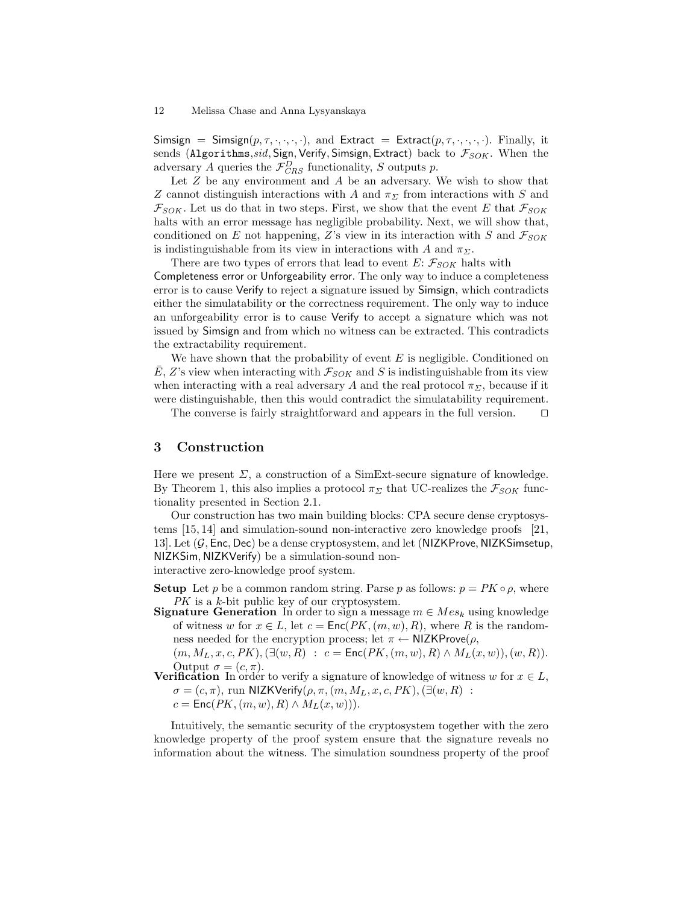Simsign = Simsign( $p, \tau, \cdot, \cdot, \cdot, \cdot$ ), and Extract = Extract( $p, \tau, \cdot, \cdot, \cdot, \cdot$ ). Finally, it sends (Algorithms, sid, Sign, Verify, Simsign, Extract) back to  $\mathcal{F}_{SOK}$ . When the adversary A queries the  $\mathcal{F}_{CRS}^D$  functionality, S outputs p.

Let  $Z$  be any environment and  $A$  be an adversary. We wish to show that Z cannot distinguish interactions with A and  $\pi_{\Sigma}$  from interactions with S and  $\mathcal{F}_{SOK}$ . Let us do that in two steps. First, we show that the event E that  $\mathcal{F}_{SOK}$ halts with an error message has negligible probability. Next, we will show that, conditioned on E not happening, Z's view in its interaction with S and  $\mathcal{F}_{SOK}$ is indistinguishable from its view in interactions with A and  $\pi_{\Sigma}$ .

There are two types of errors that lead to event  $E: \mathcal{F}_{SOK}$  halts with Completeness error or Unforgeability error. The only way to induce a completeness error is to cause Verify to reject a signature issued by Simsign, which contradicts either the simulatability or the correctness requirement. The only way to induce an unforgeability error is to cause Verify to accept a signature which was not issued by Simsign and from which no witness can be extracted. This contradicts the extractability requirement.

We have shown that the probability of event  $E$  is negligible. Conditioned on  $\overline{E}$ , Z's view when interacting with  $\mathcal{F}_{SOK}$  and S is indistinguishable from its view when interacting with a real adversary A and the real protocol  $\pi_{\Sigma}$ , because if it were distinguishable, then this would contradict the simulatability requirement.

The converse is fairly straightforward and appears in the full version.  $\Box$ 

# 3 Construction

Here we present  $\Sigma$ , a construction of a SimExt-secure signature of knowledge. By Theorem 1, this also implies a protocol  $\pi_{\Sigma}$  that UC-realizes the  $\mathcal{F}_{SOK}$  functionality presented in Section 2.1.

Our construction has two main building blocks: CPA secure dense cryptosystems [15, 14] and simulation-sound non-interactive zero knowledge proofs [21, 13. Let  $(G, Enc, Dec)$  be a dense cryptosystem, and let (NIZKProve, NIZKSimsetup, NIZKSim, NIZKVerify) be a simulation-sound noninteractive zero-knowledge proof system.

**Setup** Let p be a common random string. Parse p as follows:  $p = PK \circ \rho$ , where PK is a k-bit public key of our cryptosystem.

**Signature Generation** In order to sign a message  $m \in Mes_k$  using knowledge of witness w for  $x \in L$ , let  $c = \text{Enc}(PK, (m, w), R)$ , where R is the randomness needed for the encryption process; let  $\pi \leftarrow \mathsf{NIZKProve}(\rho,$ 

 $(m, M_L, x, c, PK), (\exists (w, R) : c = \text{Enc}(PK, (m, w), R) \wedge M_L(x, w)), (w, R)).$ Output  $\sigma = (c, \pi)$ .

**Verification** In order to verify a signature of knowledge of witness w for  $x \in L$ ,  $\sigma = (c, \pi)$ , run NIZKVerify $(\rho, \pi, (m, M_L, x, c, PK), (\exists (w, R) :$ 

$$
c = \mathsf{Enc}(PK, (m, w), R) \land M_L(x, w))).
$$

Intuitively, the semantic security of the cryptosystem together with the zero knowledge property of the proof system ensure that the signature reveals no information about the witness. The simulation soundness property of the proof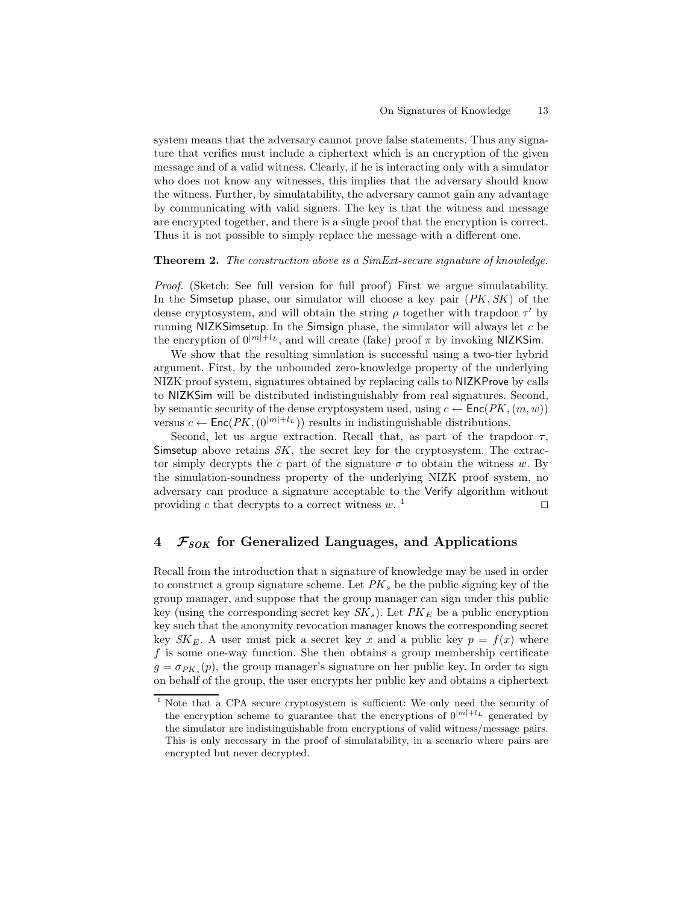system means that the adversary cannot prove false statements. Thus any signature that verifies must include a ciphertext which is an encryption of the given message and of a valid witness. Clearly, if he is interacting only with a simulator who does not know any witnesses, this implies that the adversary should know the witness. Further, by simulatability, the adversary cannot gain any advantage by communicating with valid signers. The key is that the witness and message are encrypted together, and there is a single proof that the encryption is correct. Thus it is not possible to simply replace the message with a different one.

#### Theorem 2. The construction above is a SimExt-secure signature of knowledge.

Proof. (Sketch: See full version for full proof) First we argue simulatability. In the Simsetup phase, our simulator will choose a key pair  $(PK, SK)$  of the dense cryptosystem, and will obtain the string  $\rho$  together with trapdoor  $\tau'$  by running NIZKSimsetup. In the Simsign phase, the simulator will always let  $c$  be the encryption of  $0^{|m|+l_L}$ , and will create (fake) proof  $\pi$  by invoking NIZKSim.

We show that the resulting simulation is successful using a two-tier hybrid argument. First, by the unbounded zero-knowledge property of the underlying NIZK proof system, signatures obtained by replacing calls to NIZKProve by calls to NIZKSim will be distributed indistinguishably from real signatures. Second, by semantic security of the dense cryptosystem used, using  $c \leftarrow \mathsf{Enc}(PK,(m,w))$ versus  $c \leftarrow \mathsf{Enc}(PK, (0^{|m|+l_L})$  results in indistinguishable distributions.

Second, let us argue extraction. Recall that, as part of the trapdoor  $\tau$ , Simsetup above retains  $SK$ , the secret key for the cryptosystem. The extractor simply decrypts the c part of the signature  $\sigma$  to obtain the witness w. By the simulation-soundness property of the underlying NIZK proof system, no adversary can produce a signature acceptable to the Verify algorithm without providing c that decrypts to a correct witness  $w<sup>1</sup>$ .  $\overline{1}$  utilize the contract of  $\overline{1}$ 

# $4\quad \mathcal{F}_{SOK}$  for Generalized Languages, and Applications

Recall from the introduction that a signature of knowledge may be used in order to construct a group signature scheme. Let  $PK<sub>s</sub>$  be the public signing key of the group manager, and suppose that the group manager can sign under this public key (using the corresponding secret key  $SK<sub>s</sub>$ ). Let  $PK<sub>E</sub>$  be a public encryption key such that the anonymity revocation manager knows the corresponding secret key  $SK_E$ . A user must pick a secret key x and a public key  $p = f(x)$  where  $f$  is some one-way function. She then obtains a group membership certificate  $g = \sigma_{PK_s}(p)$ , the group manager's signature on her public key. In order to sign on behalf of the group, the user encrypts her public key and obtains a ciphertext

<sup>&</sup>lt;sup>1</sup> Note that a CPA secure cryptosystem is sufficient: We only need the security of the encryption scheme to guarantee that the encryptions of  $0^{|m|+l_L}$  generated by the simulator are indistinguishable from encryptions of valid witness/message pairs. This is only necessary in the proof of simulatability, in a scenario where pairs are encrypted but never decrypted.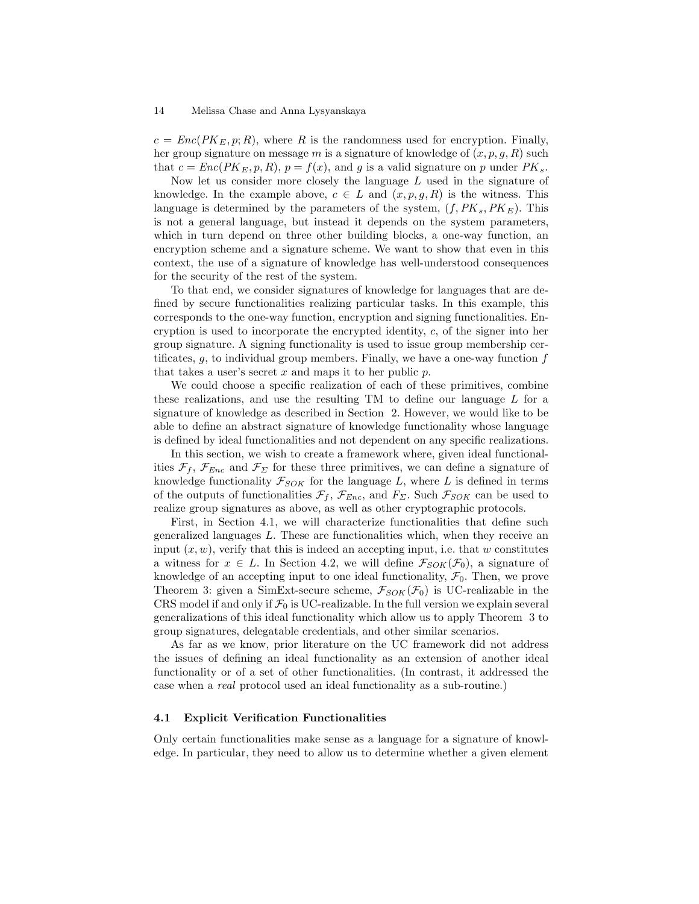$c = Enc(PK_E, p; R)$ , where R is the randomness used for encryption. Finally, her group signature on message m is a signature of knowledge of  $(x, p, g, R)$  such that  $c = Enc(PK_E, p, R), p = f(x)$ , and g is a valid signature on p under  $PK_s$ .

Now let us consider more closely the language  $L$  used in the signature of knowledge. In the example above,  $c \in L$  and  $(x, p, g, R)$  is the witness. This language is determined by the parameters of the system,  $(f, PK_s, PK_E)$ . This is not a general language, but instead it depends on the system parameters, which in turn depend on three other building blocks, a one-way function, an encryption scheme and a signature scheme. We want to show that even in this context, the use of a signature of knowledge has well-understood consequences for the security of the rest of the system.

To that end, we consider signatures of knowledge for languages that are defined by secure functionalities realizing particular tasks. In this example, this corresponds to the one-way function, encryption and signing functionalities. Encryption is used to incorporate the encrypted identity, c, of the signer into her group signature. A signing functionality is used to issue group membership certificates,  $g$ , to individual group members. Finally, we have a one-way function  $f$ that takes a user's secret x and maps it to her public  $p$ .

We could choose a specific realization of each of these primitives, combine these realizations, and use the resulting TM to define our language  $L$  for a signature of knowledge as described in Section 2. However, we would like to be able to define an abstract signature of knowledge functionality whose language is defined by ideal functionalities and not dependent on any specific realizations.

In this section, we wish to create a framework where, given ideal functionalities  $\mathcal{F}_f$ ,  $\mathcal{F}_{Enc}$  and  $\mathcal{F}_{\Sigma}$  for these three primitives, we can define a signature of knowledge functionality  $\mathcal{F}_{SOK}$  for the language L, where L is defined in terms of the outputs of functionalities  $\mathcal{F}_f$ ,  $\mathcal{F}_{Enc}$ , and  $F_{\Sigma}$ . Such  $\mathcal{F}_{SOK}$  can be used to realize group signatures as above, as well as other cryptographic protocols.

First, in Section 4.1, we will characterize functionalities that define such generalized languages  $L$ . These are functionalities which, when they receive an input  $(x, w)$ , verify that this is indeed an accepting input, i.e. that w constitutes a witness for  $x \in L$ . In Section 4.2, we will define  $\mathcal{F}_{SOK}(\mathcal{F}_0)$ , a signature of knowledge of an accepting input to one ideal functionality,  $\mathcal{F}_0$ . Then, we prove Theorem 3: given a SimExt-secure scheme,  $\mathcal{F}_{SOK}(\mathcal{F}_0)$  is UC-realizable in the CRS model if and only if  $\mathcal{F}_0$  is UC-realizable. In the full version we explain several generalizations of this ideal functionality which allow us to apply Theorem 3 to group signatures, delegatable credentials, and other similar scenarios.

As far as we know, prior literature on the UC framework did not address the issues of defining an ideal functionality as an extension of another ideal functionality or of a set of other functionalities. (In contrast, it addressed the case when a real protocol used an ideal functionality as a sub-routine.)

## 4.1 Explicit Verification Functionalities

Only certain functionalities make sense as a language for a signature of knowledge. In particular, they need to allow us to determine whether a given element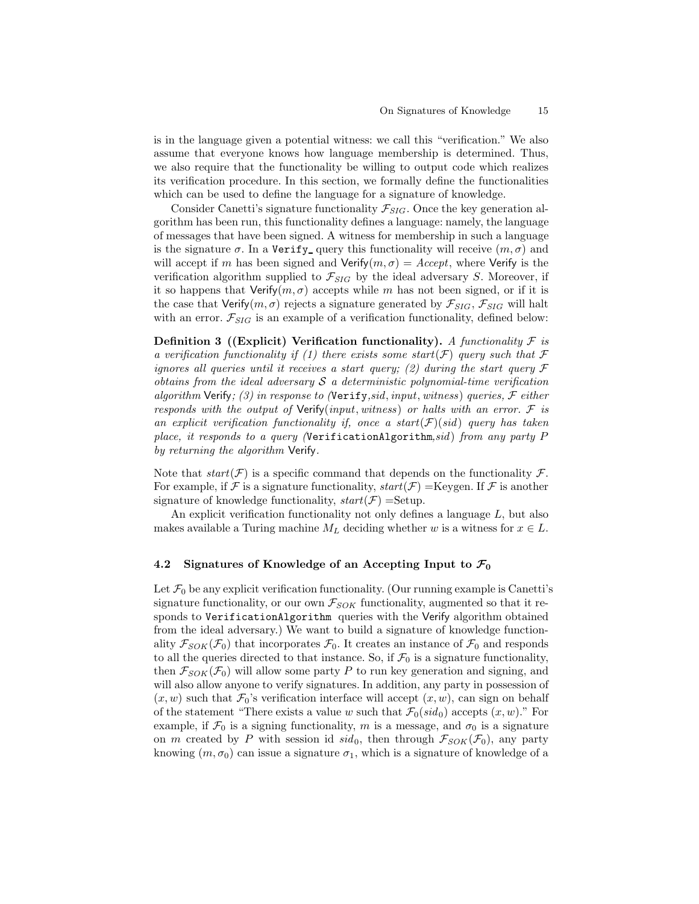is in the language given a potential witness: we call this "verification." We also assume that everyone knows how language membership is determined. Thus, we also require that the functionality be willing to output code which realizes its verification procedure. In this section, we formally define the functionalities which can be used to define the language for a signature of knowledge.

Consider Canetti's signature functionality  $\mathcal{F}_{SIG}$ . Once the key generation algorithm has been run, this functionality defines a language: namely, the language of messages that have been signed. A witness for membership in such a language is the signature  $\sigma$ . In a Verify query this functionality will receive  $(m, \sigma)$  and will accept if m has been signed and  $Verify(m, \sigma) = Accept$ , where Verify is the verification algorithm supplied to  $\mathcal{F}_{SIG}$  by the ideal adversary S. Moreover, if it so happens that  $Verify(m, \sigma)$  accepts while m has not been signed, or if it is the case that Verify $(m, \sigma)$  rejects a signature generated by  $\mathcal{F}_{SIG}$ ,  $\mathcal{F}_{SIG}$  will halt with an error.  $\mathcal{F}_{SIG}$  is an example of a verification functionality, defined below:

Definition 3 ((Explicit) Verification functionality). A functionality  $\mathcal F$  is a verification functionality if (1) there exists some start( $\mathcal{F}$ ) query such that  $\mathcal{F}$ ignores all queries until it receives a start query; (2) during the start query  $\mathcal F$ obtains from the ideal adversary  $S$  a deterministic polynomial-time verification algorithm Verify; (3) in response to (Verify, sid, input, witness) queries,  $\mathcal F$  either responds with the output of Verify(input, witness) or halts with an error.  $\mathcal F$  is an explicit verification functionality if, once a start $(\mathcal{F})(sid)$  query has taken place, it responds to a query (VerificationAlgorithm,sid) from any party  $P$ by returning the algorithm Verify.

Note that  $start(\mathcal{F})$  is a specific command that depends on the functionality  $\mathcal{F}$ . For example, if F is a signature functionality,  $start(\mathcal{F}) = \text{Keygen}$ . If F is another signature of knowledge functionality,  $start(\mathcal{F}) = Setup$ .

An explicit verification functionality not only defines a language  $L$ , but also makes available a Turing machine  $M_L$  deciding whether w is a witness for  $x \in L$ .

## 4.2 Signatures of Knowledge of an Accepting Input to  $\mathcal{F}_0$

Let  $\mathcal{F}_0$  be any explicit verification functionality. (Our running example is Canetti's signature functionality, or our own  $\mathcal{F}_{SOK}$  functionality, augmented so that it responds to VerificationAlgorithm queries with the Verify algorithm obtained from the ideal adversary.) We want to build a signature of knowledge functionality  $\mathcal{F}_{SOK}(\mathcal{F}_0)$  that incorporates  $\mathcal{F}_0$ . It creates an instance of  $\mathcal{F}_0$  and responds to all the queries directed to that instance. So, if  $\mathcal{F}_0$  is a signature functionality, then  $\mathcal{F}_{SOK}(\mathcal{F}_0)$  will allow some party P to run key generation and signing, and will also allow anyone to verify signatures. In addition, any party in possession of  $(x, w)$  such that  $\mathcal{F}_0$ 's verification interface will accept  $(x, w)$ , can sign on behalf of the statement "There exists a value w such that  $\mathcal{F}_0(sid_0)$  accepts  $(x, w)$ ." For example, if  $\mathcal{F}_0$  is a signing functionality, m is a message, and  $\sigma_0$  is a signature on m created by P with session id  $sid_0$ , then through  $\mathcal{F}_{SOK}(\mathcal{F}_0)$ , any party knowing  $(m, \sigma_0)$  can issue a signature  $\sigma_1$ , which is a signature of knowledge of a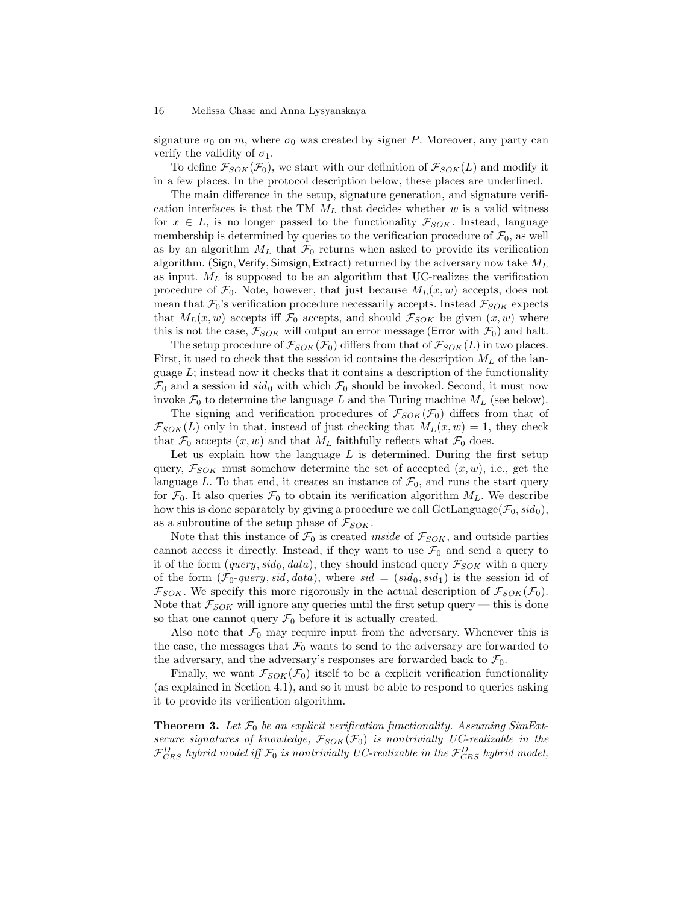signature  $\sigma_0$  on m, where  $\sigma_0$  was created by signer P. Moreover, any party can verify the validity of  $\sigma_1$ .

To define  $\mathcal{F}_{SOK}(\mathcal{F}_0)$ , we start with our definition of  $\mathcal{F}_{SOK}(L)$  and modify it in a few places. In the protocol description below, these places are underlined.

The main difference in the setup, signature generation, and signature verification interfaces is that the TM  $M_L$  that decides whether w is a valid witness for  $x \in L$ , is no longer passed to the functionality  $\mathcal{F}_{SOK}$ . Instead, language membership is determined by queries to the verification procedure of  $\mathcal{F}_0$ , as well as by an algorithm  $M_L$  that  $\mathcal{F}_0$  returns when asked to provide its verification algorithm. (Sign, Verify, Simsign, Extract) returned by the adversary now take  $M_L$ as input.  $M_L$  is supposed to be an algorithm that UC-realizes the verification procedure of  $\mathcal{F}_0$ . Note, however, that just because  $M_L(x, w)$  accepts, does not mean that  $\mathcal{F}_0$ 's verification procedure necessarily accepts. Instead  $\mathcal{F}_{SOK}$  expects that  $M_L(x, w)$  accepts iff  $\mathcal{F}_0$  accepts, and should  $\mathcal{F}_{SOK}$  be given  $(x, w)$  where this is not the case,  $\mathcal{F}_{SOK}$  will output an error message (Error with  $\mathcal{F}_0$ ) and halt.

The setup procedure of  $\mathcal{F}_{SOK}(\mathcal{F}_0)$  differs from that of  $\mathcal{F}_{SOK}(L)$  in two places. First, it used to check that the session id contains the description  $M_L$  of the language  $L$ ; instead now it checks that it contains a description of the functionality  $\mathcal{F}_0$  and a session id sid<sub>0</sub> with which  $\mathcal{F}_0$  should be invoked. Second, it must now invoke  $\mathcal{F}_0$  to determine the language L and the Turing machine  $M_L$  (see below).

The signing and verification procedures of  $\mathcal{F}_{SOK}(\mathcal{F}_0)$  differs from that of  $\mathcal{F}_{SOK}(L)$  only in that, instead of just checking that  $M_L(x, w) = 1$ , they check that  $\mathcal{F}_0$  accepts  $(x, w)$  and that  $M_L$  faithfully reflects what  $\mathcal{F}_0$  does.

Let us explain how the language  $L$  is determined. During the first setup query,  $\mathcal{F}_{SOK}$  must somehow determine the set of accepted  $(x, w)$ , i.e., get the language L. To that end, it creates an instance of  $\mathcal{F}_0$ , and runs the start query for  $\mathcal{F}_0$ . It also queries  $\mathcal{F}_0$  to obtain its verification algorithm  $M_L$ . We describe how this is done separately by giving a procedure we call GetLanguage( $\mathcal{F}_0$ ,  $sid_0$ ), as a subroutine of the setup phase of  $\mathcal{F}_{SOK}$ .

Note that this instance of  $\mathcal{F}_0$  is created *inside* of  $\mathcal{F}_{SOK}$ , and outside parties cannot access it directly. Instead, if they want to use  $\mathcal{F}_0$  and send a query to it of the form (query, sid<sub>0</sub>, data), they should instead query  $\mathcal{F}_{SOK}$  with a query of the form  $(\mathcal{F}_0$ -query, sid, data), where sid =  $(sid_0, sid_1)$  is the session id of  $\mathcal{F}_{SOK}$ . We specify this more rigorously in the actual description of  $\mathcal{F}_{SOK}(\mathcal{F}_0)$ . Note that  $\mathcal{F}_{SOK}$  will ignore any queries until the first setup query — this is done so that one cannot query  $\mathcal{F}_0$  before it is actually created.

Also note that  $\mathcal{F}_0$  may require input from the adversary. Whenever this is the case, the messages that  $\mathcal{F}_0$  wants to send to the adversary are forwarded to the adversary, and the adversary's responses are forwarded back to  $\mathcal{F}_0$ .

Finally, we want  $\mathcal{F}_{SOK}(\mathcal{F}_0)$  itself to be a explicit verification functionality (as explained in Section 4.1), and so it must be able to respond to queries asking it to provide its verification algorithm.

**Theorem 3.** Let  $\mathcal{F}_0$  be an explicit verification functionality. Assuming SimExtsecure signatures of knowledge,  $\mathcal{F}_{SOK}(\mathcal{F}_0)$  is nontrivially UC-realizable in the  ${\cal F}^{D}_{CRS}$  hybrid model iff  ${\cal F}_{0}$  is nontrivially UC-realizable in the  ${\cal F}^{D}_{CRS}$  hybrid model,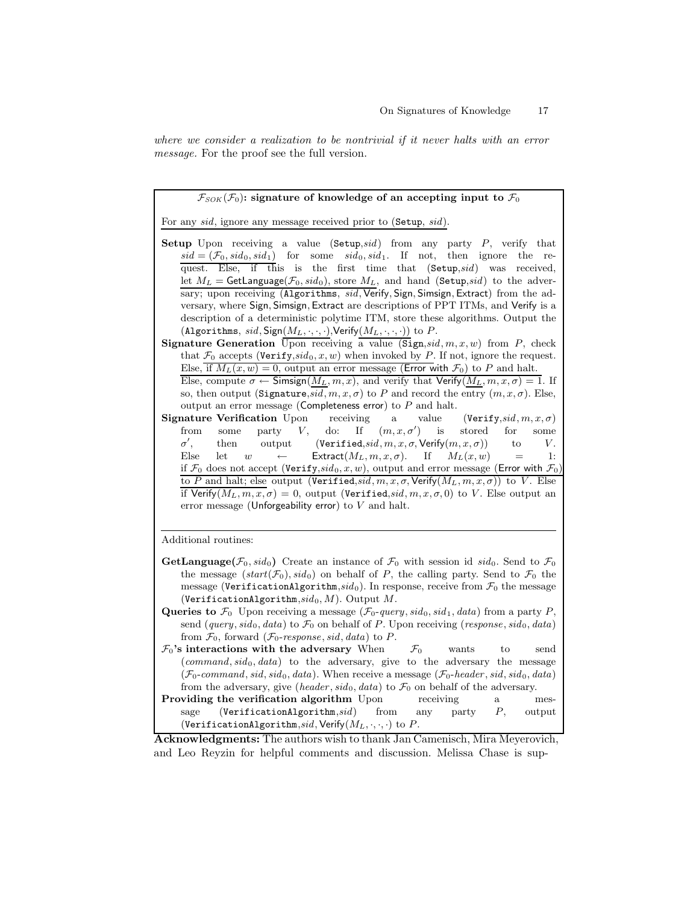where we consider a realization to be nontrivial if it never halts with an error message. For the proof see the full version.

Additional routines:

- **GetLanguage**( $\mathcal{F}_0$ , sid<sub>0</sub>) Create an instance of  $\mathcal{F}_0$  with session id sid<sub>0</sub>. Send to  $\mathcal{F}_0$ the message (start  $(\mathcal{F}_0)$ , sid<sub>0</sub>) on behalf of P, the calling party. Send to  $\mathcal{F}_0$  the message (VerificationAlgorithm, $sid_0$ ). In response, receive from  $\mathcal{F}_0$  the message (VerificationAlgorithm, $sid_0, M$ ). Output  $M$ .
- Queries to  $\mathcal{F}_0$  Upon receiving a message ( $\mathcal{F}_0$ -query, sid<sub>0</sub>, sid<sub>1</sub>, data) from a party P, send (query, sid<sub>0</sub>, data) to  $\mathcal{F}_0$  on behalf of P. Upon receiving (response, sid<sub>0</sub>, data) from  $\mathcal{F}_0$ , forward  $(\mathcal{F}_0$ -response, sid, data) to P.
- $\mathcal{F}_0$ 's interactions with the adversary When  $\mathcal{F}_0$  wants to send  $(command, sid<sub>0</sub>, data)$  to the adversary, give to the adversary the message  $(\mathcal{F}_0$ -command, sid, sid<sub>0</sub>, data). When receive a message  $(\mathcal{F}_0$ -header, sid, sid<sub>0</sub>, data) from the adversary, give (header, sid<sub>0</sub>, data) to  $\mathcal{F}_0$  on behalf of the adversary. Providing the verification algorithm Upon receiving a message (VerificationAlgorithm,sid) from any party  $P$ , output

(VerificationAlgorithm,sid, Verify $(M_L, \cdot, \cdot, \cdot)$  to  $P$ .

Acknowledgments: The authors wish to thank Jan Camenisch, Mira Meyerovich, and Leo Reyzin for helpful comments and discussion. Melissa Chase is sup